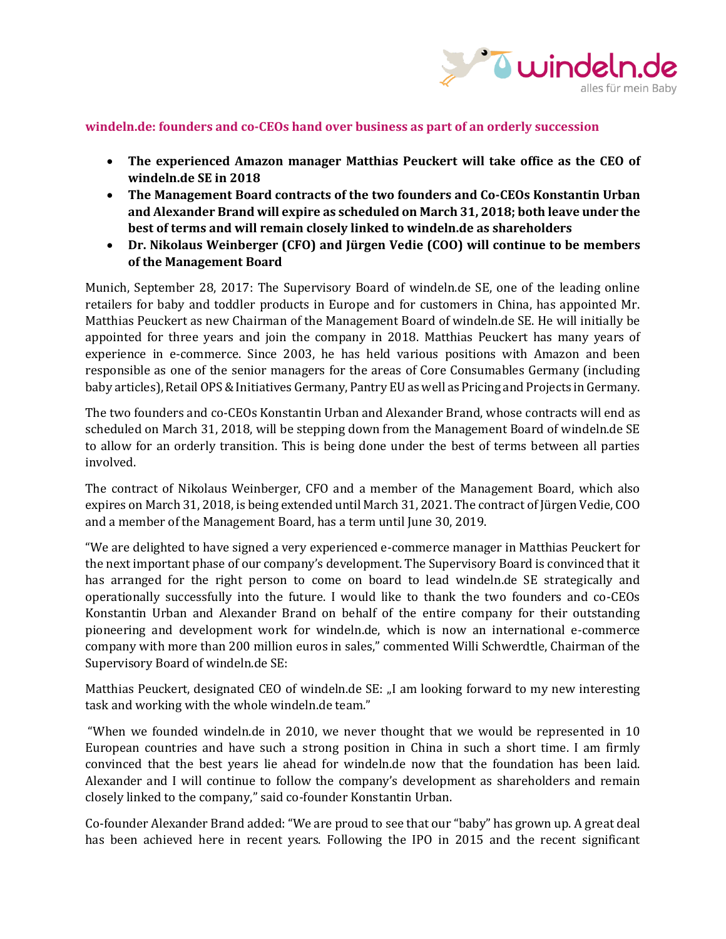

## **windeln.de: founders and co-CEOs hand over business as part of an orderly succession**

- **The experienced Amazon manager Matthias Peuckert will take office as the CEO of windeln.de SE in 2018**
- **The Management Board contracts of the two founders and Co-CEOs Konstantin Urban and Alexander Brand will expire as scheduled on March 31, 2018; both leave under the best of terms and will remain closely linked to windeln.de as shareholders**
- **Dr. Nikolaus Weinberger (CFO) and Jürgen Vedie (COO) will continue to be members of the Management Board**

Munich, September 28, 2017: The Supervisory Board of windeln.de SE, one of the leading online retailers for baby and toddler products in Europe and for customers in China, has appointed Mr. Matthias Peuckert as new Chairman of the Management Board of windeln.de SE. He will initially be appointed for three years and join the company in 2018. Matthias Peuckert has many years of experience in e-commerce. Since 2003, he has held various positions with Amazon and been responsible as one of the senior managers for the areas of Core Consumables Germany (including baby articles), Retail OPS & Initiatives Germany, Pantry EU as well as Pricing and Projects in Germany.

The two founders and co-CEOs Konstantin Urban and Alexander Brand, whose contracts will end as scheduled on March 31, 2018, will be stepping down from the Management Board of windeln.de SE to allow for an orderly transition. This is being done under the best of terms between all parties involved.

The contract of Nikolaus Weinberger, CFO and a member of the Management Board, which also expires on March 31, 2018, is being extended until March 31, 2021. The contract of Jürgen Vedie, COO and a member of the Management Board, has a term until June 30, 2019.

"We are delighted to have signed a very experienced e-commerce manager in Matthias Peuckert for the next important phase of our company's development. The Supervisory Board is convinced that it has arranged for the right person to come on board to lead windeln.de SE strategically and operationally successfully into the future. I would like to thank the two founders and co-CEOs Konstantin Urban and Alexander Brand on behalf of the entire company for their outstanding pioneering and development work for windeln.de, which is now an international e-commerce company with more than 200 million euros in sales," commented Willi Schwerdtle, Chairman of the Supervisory Board of windeln.de SE:

Matthias Peuckert, designated CEO of windeln.de SE: "I am looking forward to my new interesting task and working with the whole windeln.de team."

"When we founded windeln.de in 2010, we never thought that we would be represented in 10 European countries and have such a strong position in China in such a short time. I am firmly convinced that the best years lie ahead for windeln.de now that the foundation has been laid. Alexander and I will continue to follow the company's development as shareholders and remain closely linked to the company," said co-founder Konstantin Urban.

Co-founder Alexander Brand added: "We are proud to see that our "baby" has grown up. A great deal has been achieved here in recent years. Following the IPO in 2015 and the recent significant